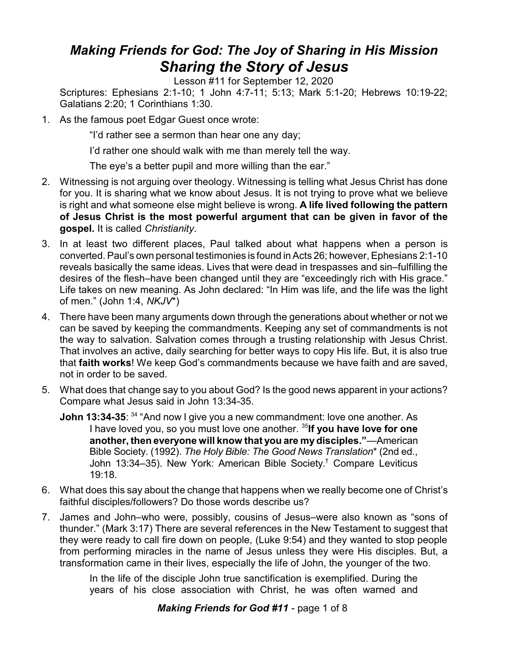## *Making Friends for God: The Joy of Sharing in His Mission Sharing the Story of Jesus*

Lesson #11 for September 12, 2020

Scriptures: Ephesians 2:1-10; 1 John 4:7-11; 5:13; Mark 5:1-20; Hebrews 10:19-22; Galatians 2:20; 1 Corinthians 1:30.

1. As the famous poet Edgar Guest once wrote:

"I'd rather see a sermon than hear one any day;

I'd rather one should walk with me than merely tell the way.

The eye's a better pupil and more willing than the ear."

- 2. Witnessing is not arguing over theology. Witnessing is telling what Jesus Christ has done for you. It is sharing what we know about Jesus. It is not trying to prove what we believe is right and what someone else might believe is wrong. **A life lived following the pattern of Jesus Christ is the most powerful argument that can be given in favor of the gospel.** It is called *Christianity*.
- 3. In at least two different places, Paul talked about what happens when a person is converted. Paul's own personal testimonies is found in Acts 26; however, Ephesians 2:1-10 reveals basically the same ideas. Lives that were dead in trespasses and sin–fulfilling the desires of the flesh–have been changed until they are "exceedingly rich with His grace." Life takes on new meaning. As John declared: "In Him was life, and the life was the light of men." (John 1:4, *NKJV*\*)
- 4. There have been many arguments down through the generations about whether or not we can be saved by keeping the commandments. Keeping any set of commandments is not the way to salvation. Salvation comes through a trusting relationship with Jesus Christ. That involves an active, daily searching for better ways to copy His life. But, it is also true that **faith works**! We keep God's commandments because we have faith and are saved, not in order to be saved.
- 5. What does that change say to you about God? Is the good news apparent in your actions? Compare what Jesus said in John 13:34-35.
	- **John 13:34-35**: <sup>34</sup> "And now I give you a new commandment: love one another. As I have loved you, so you must love one another. <sup>35</sup>l**f you have love for one another, then everyone will know that you are my disciples."**—American Bible Society. (1992). *The Holy Bible: The Good News Translation*\* (2nd ed., John 13:34–35). New York: American Bible Society. † Compare Leviticus 19:18.
- 6. What does this say about the change that happens when we really become one of Christ's faithful disciples/followers? Do those words describe us?
- 7. James and John–who were, possibly, cousins of Jesus–were also known as "sons of thunder." (Mark 3:17) There are several references in the New Testament to suggest that they were ready to call fire down on people, (Luke 9:54) and they wanted to stop people from performing miracles in the name of Jesus unless they were His disciples. But, a transformation came in their lives, especially the life of John, the younger of the two.

In the life of the disciple John true sanctification is exemplified. During the years of his close association with Christ, he was often warned and

## *Making Friends for God #11* - page 1 of 8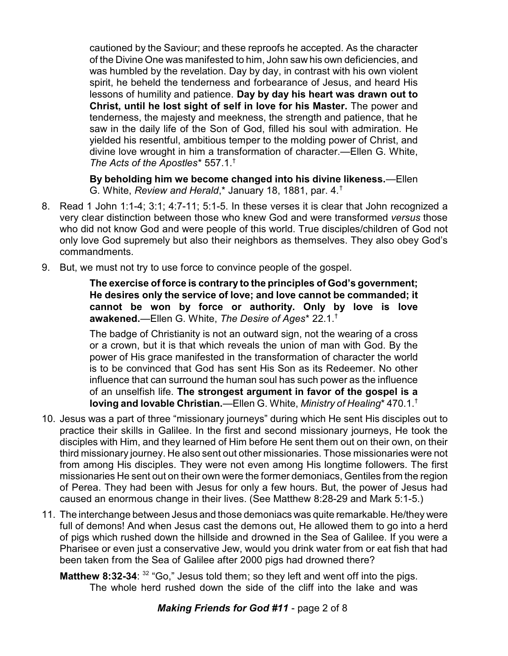cautioned by the Saviour; and these reproofs he accepted. As the character of the Divine One was manifested to him, John saw his own deficiencies, and was humbled by the revelation. Day by day, in contrast with his own violent spirit, he beheld the tenderness and forbearance of Jesus, and heard His lessons of humility and patience. **Day by day his heart was drawn out to Christ, until he lost sight of self in love for his Master.** The power and tenderness, the majesty and meekness, the strength and patience, that he saw in the daily life of the Son of God, filled his soul with admiration. He yielded his resentful, ambitious temper to the molding power of Christ, and divine love wrought in him a transformation of character.—Ellen G. White, *The Acts of the Apostles*\* 557.1.†

**By beholding him we become changed into his divine likeness.**—Ellen G. White, *Review and Herald*,\* January 18, 1881, par. 4.†

- 8. Read 1 John 1:1-4; 3:1; 4:7-11; 5:1-5. In these verses it is clear that John recognized a very clear distinction between those who knew God and were transformed *versus* those who did not know God and were people of this world. True disciples/children of God not only love God supremely but also their neighbors as themselves. They also obey God's commandments.
- 9. But, we must not try to use force to convince people of the gospel.

**The exercise of force is contrary to the principles of God's government; He desires only the service of love; and love cannot be commanded; it cannot be won by force or authority. Only by love is love awakened.**—Ellen G. White, *The Desire of Ages*\* 22.1.†

The badge of Christianity is not an outward sign, not the wearing of a cross or a crown, but it is that which reveals the union of man with God. By the power of His grace manifested in the transformation of character the world is to be convinced that God has sent His Son as its Redeemer. No other influence that can surround the human soul has such power as the influence of an unselfish life. **The strongest argument in favor of the gospel is a loving and lovable Christian.**—Ellen G. White, *Ministry of Healing*\* 470.1.†

- 10. Jesus was a part of three "missionary journeys" during which He sent His disciples out to practice their skills in Galilee. In the first and second missionary journeys, He took the disciples with Him, and they learned of Him before He sent them out on their own, on their third missionary journey. He also sent out other missionaries. Those missionaries were not from among His disciples. They were not even among His longtime followers. The first missionaries He sent out on their own were the former demoniacs, Gentiles from the region of Perea. They had been with Jesus for only a few hours. But, the power of Jesus had caused an enormous change in their lives. (See Matthew 8:28-29 and Mark 5:1-5.)
- 11. The interchange between Jesus and those demoniacs was quite remarkable. He/they were full of demons! And when Jesus cast the demons out, He allowed them to go into a herd of pigs which rushed down the hillside and drowned in the Sea of Galilee. If you were a Pharisee or even just a conservative Jew, would you drink water from or eat fish that had been taken from the Sea of Galilee after 2000 pigs had drowned there?

**Matthew 8:32-34:** <sup>32</sup> "Go," Jesus told them; so they left and went off into the pigs. The whole herd rushed down the side of the cliff into the lake and was

## *Making Friends for God #11* - page 2 of 8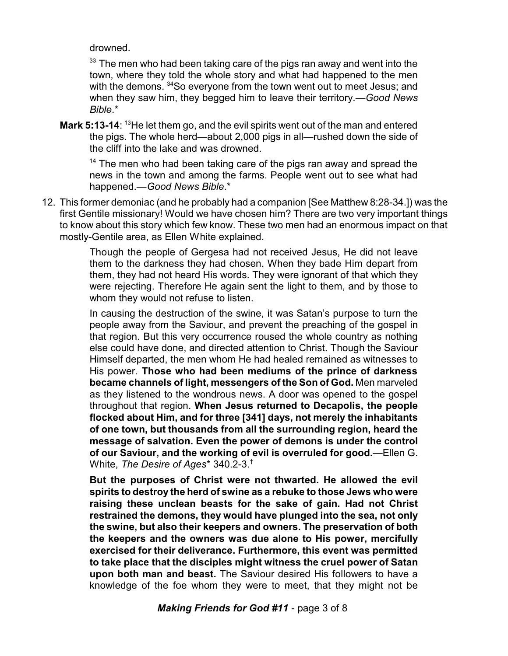drowned.

 $^{\rm 33}$  The men who had been taking care of the pigs ran away and went into the town, where they told the whole story and what had happened to the men with the demons. <sup>34</sup>So everyone from the town went out to meet Jesus; and when they saw him, they begged him to leave their territory.—*Good News Bible*.\*

**Mark 5:13-14:** <sup>13</sup>He let them go, and the evil spirits went out of the man and entered the pigs. The whole herd—about 2,000 pigs in all—rushed down the side of the cliff into the lake and was drowned.

<sup>14</sup> The men who had been taking care of the pigs ran away and spread the news in the town and among the farms. People went out to see what had happened.—*Good News Bible*.\*

12. This former demoniac (and he probably had a companion [See Matthew 8:28-34.]) was the first Gentile missionary! Would we have chosen him? There are two very important things to know about this story which few know. These two men had an enormous impact on that mostly-Gentile area, as Ellen White explained.

> Though the people of Gergesa had not received Jesus, He did not leave them to the darkness they had chosen. When they bade Him depart from them, they had not heard His words. They were ignorant of that which they were rejecting. Therefore He again sent the light to them, and by those to whom they would not refuse to listen.

> In causing the destruction of the swine, it was Satan's purpose to turn the people away from the Saviour, and prevent the preaching of the gospel in that region. But this very occurrence roused the whole country as nothing else could have done, and directed attention to Christ. Though the Saviour Himself departed, the men whom He had healed remained as witnesses to His power. **Those who had been mediums of the prince of darkness became channels of light, messengers of the Son of God.** Men marveled as they listened to the wondrous news. A door was opened to the gospel throughout that region. **When Jesus returned to Decapolis, the people flocked about Him, and for three [341] days, not merely the inhabitants of one town, but thousands from all the surrounding region, heard the message of salvation. Even the power of demons is under the control of our Saviour, and the working of evil is overruled for good.**—Ellen G. White, *The Desire of Ages*\* 340.2-3.†

> **But the purposes of Christ were not thwarted. He allowed the evil spirits to destroy the herd of swine as a rebuke to those Jews who were raising these unclean beasts for the sake of gain. Had not Christ restrained the demons, they would have plunged into the sea, not only the swine, but also their keepers and owners. The preservation of both the keepers and the owners was due alone to His power, mercifully exercised for their deliverance. Furthermore, this event was permitted to take place that the disciples might witness the cruel power of Satan upon both man and beast.** The Saviour desired His followers to have a knowledge of the foe whom they were to meet, that they might not be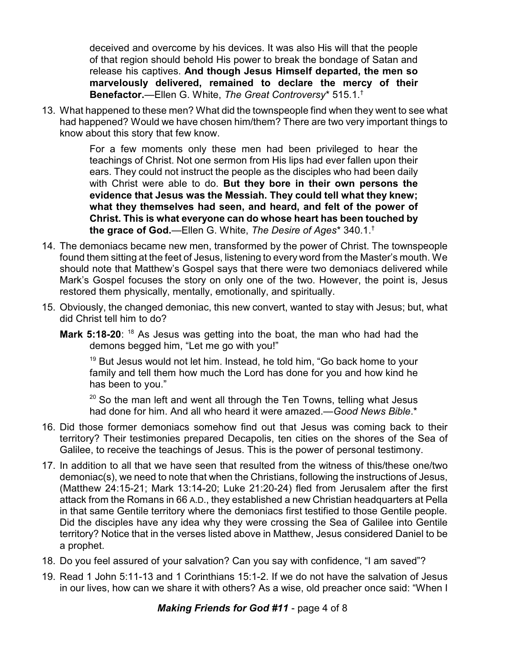deceived and overcome by his devices. It was also His will that the people of that region should behold His power to break the bondage of Satan and release his captives. **And though Jesus Himself departed, the men so marvelously delivered, remained to declare the mercy of their Benefactor.**—Ellen G. White, *The Great Controversy*\* 515.1.†

13. What happened to these men? What did the townspeople find when they went to see what had happened? Would we have chosen him/them? There are two very important things to know about this story that few know.

> For a few moments only these men had been privileged to hear the teachings of Christ. Not one sermon from His lips had ever fallen upon their ears. They could not instruct the people as the disciples who had been daily with Christ were able to do. **But they bore in their own persons the evidence that Jesus was the Messiah. They could tell what they knew; what they themselves had seen, and heard, and felt of the power of Christ. This is what everyone can do whose heart has been touched by the grace of God.**—Ellen G. White, *The Desire of Ages*\* 340.1.†

- 14. The demoniacs became new men, transformed by the power of Christ. The townspeople found them sitting at the feet of Jesus, listening to every word from the Master's mouth. We should note that Matthew's Gospel says that there were two demoniacs delivered while Mark's Gospel focuses the story on only one of the two. However, the point is, Jesus restored them physically, mentally, emotionally, and spiritually.
- 15. Obviously, the changed demoniac, this new convert, wanted to stay with Jesus; but, what did Christ tell him to do?
	- **Mark 5:18-20**: <sup>18</sup> As Jesus was getting into the boat, the man who had had the demons begged him, "Let me go with you!"

<sup>19</sup> But Jesus would not let him. Instead, he told him, "Go back home to your family and tell them how much the Lord has done for you and how kind he has been to you."

 $^{20}$  So the man left and went all through the Ten Towns, telling what Jesus had done for him. And all who heard it were amazed.—*Good News Bible*.\*

- 16. Did those former demoniacs somehow find out that Jesus was coming back to their territory? Their testimonies prepared Decapolis, ten cities on the shores of the Sea of Galilee, to receive the teachings of Jesus. This is the power of personal testimony.
- 17. In addition to all that we have seen that resulted from the witness of this/these one/two demoniac(s), we need to note that when the Christians, following the instructions of Jesus, (Matthew 24:15-21; Mark 13:14-20; Luke 21:20-24) fled from Jerusalem after the first attack from the Romans in 66 A.D., they established a new Christian headquarters at Pella in that same Gentile territory where the demoniacs first testified to those Gentile people. Did the disciples have any idea why they were crossing the Sea of Galilee into Gentile territory? Notice that in the verses listed above in Matthew, Jesus considered Daniel to be a prophet.
- 18. Do you feel assured of your salvation? Can you say with confidence, "I am saved"?
- 19. Read 1 John 5:11-13 and 1 Corinthians 15:1-2. If we do not have the salvation of Jesus in our lives, how can we share it with others? As a wise, old preacher once said: "When I

## *Making Friends for God #11* - page 4 of 8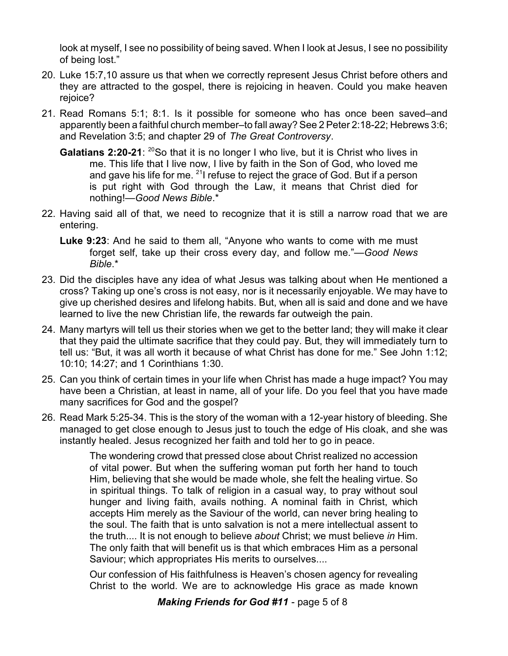look at myself, I see no possibility of being saved. When I look at Jesus, I see no possibility of being lost."

- 20. Luke 15:7,10 assure us that when we correctly represent Jesus Christ before others and they are attracted to the gospel, there is rejoicing in heaven. Could you make heaven rejoice?
- 21. Read Romans 5:1; 8:1. Is it possible for someone who has once been saved–and apparently been a faithful church member–to fall away? See 2 Peter 2:18-22; Hebrews 3:6; and Revelation 3:5; and chapter 29 of *The Great Controversy*.
	- **Galatians 2:20-21:** <sup>20</sup>So that it is no longer I who live, but it is Christ who lives in me. This life that I live now, I live by faith in the Son of God, who loved me and gave his life for me. <sup>21</sup>I refuse to reject the grace of God. But if a person is put right with God through the Law, it means that Christ died for nothing!—*Good News Bible*.\*
- 22. Having said all of that, we need to recognize that it is still a narrow road that we are entering.
	- **Luke 9:23**: And he said to them all, "Anyone who wants to come with me must forget self, take up their cross every day, and follow me."—*Good News Bible*.\*
- 23. Did the disciples have any idea of what Jesus was talking about when He mentioned a cross? Taking up one's cross is not easy, nor is it necessarily enjoyable. We may have to give up cherished desires and lifelong habits. But, when all is said and done and we have learned to live the new Christian life, the rewards far outweigh the pain.
- 24. Many martyrs will tell us their stories when we get to the better land; they will make it clear that they paid the ultimate sacrifice that they could pay. But, they will immediately turn to tell us: "But, it was all worth it because of what Christ has done for me." See John 1:12; 10:10; 14:27; and 1 Corinthians 1:30.
- 25. Can you think of certain times in your life when Christ has made a huge impact? You may have been a Christian, at least in name, all of your life. Do you feel that you have made many sacrifices for God and the gospel?
- 26. Read Mark 5:25-34. This is the story of the woman with a 12-year history of bleeding. She managed to get close enough to Jesus just to touch the edge of His cloak, and she was instantly healed. Jesus recognized her faith and told her to go in peace.

The wondering crowd that pressed close about Christ realized no accession of vital power. But when the suffering woman put forth her hand to touch Him, believing that she would be made whole, she felt the healing virtue. So in spiritual things. To talk of religion in a casual way, to pray without soul hunger and living faith, avails nothing. A nominal faith in Christ, which accepts Him merely as the Saviour of the world, can never bring healing to the soul. The faith that is unto salvation is not a mere intellectual assent to the truth.... It is not enough to believe *about* Christ; we must believe *in* Him. The only faith that will benefit us is that which embraces Him as a personal Saviour; which appropriates His merits to ourselves....

Our confession of His faithfulness is Heaven's chosen agency for revealing Christ to the world. We are to acknowledge His grace as made known

*Making Friends for God #11* - page 5 of 8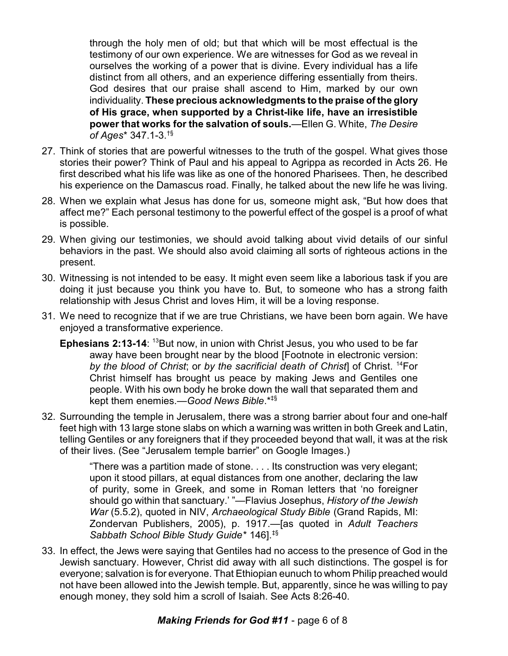through the holy men of old; but that which will be most effectual is the testimony of our own experience. We are witnesses for God as we reveal in ourselves the working of a power that is divine. Every individual has a life distinct from all others, and an experience differing essentially from theirs. God desires that our praise shall ascend to Him, marked by our own individuality. **These precious acknowledgments to the praise of the glory of His grace, when supported by a Christ-like life, have an irresistible power that works for the salvation of souls.**—Ellen G. White, *The Desire of Ages*\* 347.1-3.†§

- 27. Think of stories that are powerful witnesses to the truth of the gospel. What gives those stories their power? Think of Paul and his appeal to Agrippa as recorded in Acts 26. He first described what his life was like as one of the honored Pharisees. Then, he described his experience on the Damascus road. Finally, he talked about the new life he was living.
- 28. When we explain what Jesus has done for us, someone might ask, "But how does that affect me?" Each personal testimony to the powerful effect of the gospel is a proof of what is possible.
- 29. When giving our testimonies, we should avoid talking about vivid details of our sinful behaviors in the past. We should also avoid claiming all sorts of righteous actions in the present.
- 30. Witnessing is not intended to be easy. It might even seem like a laborious task if you are doing it just because you think you have to. But, to someone who has a strong faith relationship with Jesus Christ and loves Him, it will be a loving response.
- 31. We need to recognize that if we are true Christians, we have been born again. We have enjoyed a transformative experience.
	- **Ephesians 2:13-14:** <sup>13</sup>But now, in union with Christ Jesus, you who used to be far away have been brought near by the blood [Footnote in electronic version: *by the blood of Christ*; or *by the sacrificial death of Christ*] of Christ. <sup>14</sup>For Christ himself has brought us peace by making Jews and Gentiles one people. With his own body he broke down the wall that separated them and kept them enemies.—*Good News Bible*.\*‡§
- 32. Surrounding the temple in Jerusalem, there was a strong barrier about four and one-half feet high with 13 large stone slabs on which a warning was written in both Greek and Latin, telling Gentiles or any foreigners that if they proceeded beyond that wall, it was at the risk of their lives. (See "Jerusalem temple barrier" on Google Images.)

"There was a partition made of stone. . . . Its construction was very elegant; upon it stood pillars, at equal distances from one another, declaring the law of purity, some in Greek, and some in Roman letters that 'no foreigner should go within that sanctuary.' "—Flavius Josephus, *History of the Jewish War* (5.5.2), quoted in NIV, *Archaeological Study Bible* (Grand Rapids, MI: Zondervan Publishers, 2005), p. 1917.—[as quoted in *Adult Teachers Sabbath School Bible Study Guide*\* 146].‡§

33. In effect, the Jews were saying that Gentiles had no access to the presence of God in the Jewish sanctuary. However, Christ did away with all such distinctions. The gospel is for everyone; salvation is for everyone. That Ethiopian eunuch to whom Philip preached would not have been allowed into the Jewish temple. But, apparently, since he was willing to pay enough money, they sold him a scroll of Isaiah. See Acts 8:26-40.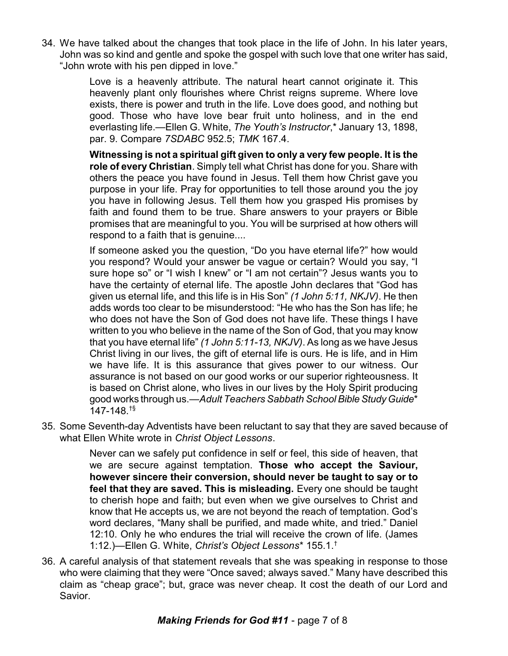34. We have talked about the changes that took place in the life of John. In his later years, John was so kind and gentle and spoke the gospel with such love that one writer has said, "John wrote with his pen dipped in love."

> Love is a heavenly attribute. The natural heart cannot originate it. This heavenly plant only flourishes where Christ reigns supreme. Where love exists, there is power and truth in the life. Love does good, and nothing but good. Those who have love bear fruit unto holiness, and in the end everlasting life.—Ellen G. White, *The Youth's Instructor*,\* January 13, 1898, par. 9. Compare *7SDABC* 952.5; *TMK* 167.4.

> **Witnessing is not a spiritual gift given to only a very few people. It is the role of every Christian**. Simply tell what Christ has done for you. Share with others the peace you have found in Jesus. Tell them how Christ gave you purpose in your life. Pray for opportunities to tell those around you the joy you have in following Jesus. Tell them how you grasped His promises by faith and found them to be true. Share answers to your prayers or Bible promises that are meaningful to you. You will be surprised at how others will respond to a faith that is genuine....

> If someone asked you the question, "Do you have eternal life?" how would you respond? Would your answer be vague or certain? Would you say, "I sure hope so" or "I wish I knew" or "I am not certain"? Jesus wants you to have the certainty of eternal life. The apostle John declares that "God has given us eternal life, and this life is in His Son" *(1 John 5:11, NKJV)*. He then adds words too clear to be misunderstood: "He who has the Son has life; he who does not have the Son of God does not have life. These things I have written to you who believe in the name of the Son of God, that you may know that you have eternal life" *(1 John 5:11-13, NKJV)*. As long as we have Jesus Christ living in our lives, the gift of eternal life is ours. He is life, and in Him we have life. It is this assurance that gives power to our witness. Our assurance is not based on our good works or our superior righteousness. It is based on Christ alone, who lives in our lives by the Holy Spirit producing good works through us.—Adult Teachers Sabbath School Bible Study Guide<sup>\*</sup> 147-148.†§

35. Some Seventh-day Adventists have been reluctant to say that they are saved because of what Ellen White wrote in *Christ Object Lessons*.

> Never can we safely put confidence in self or feel, this side of heaven, that we are secure against temptation. **Those who accept the Saviour, however sincere their conversion, should never be taught to say or to feel that they are saved. This is misleading.** Every one should be taught to cherish hope and faith; but even when we give ourselves to Christ and know that He accepts us, we are not beyond the reach of temptation. God's word declares, "Many shall be purified, and made white, and tried." Daniel 12:10. Only he who endures the trial will receive the crown of life. (James 1:12.)—Ellen G. White, *Christ's Object Lessons*\* 155.1.†

36. A careful analysis of that statement reveals that she was speaking in response to those who were claiming that they were "Once saved; always saved." Many have described this claim as "cheap grace"; but, grace was never cheap. It cost the death of our Lord and Savior.